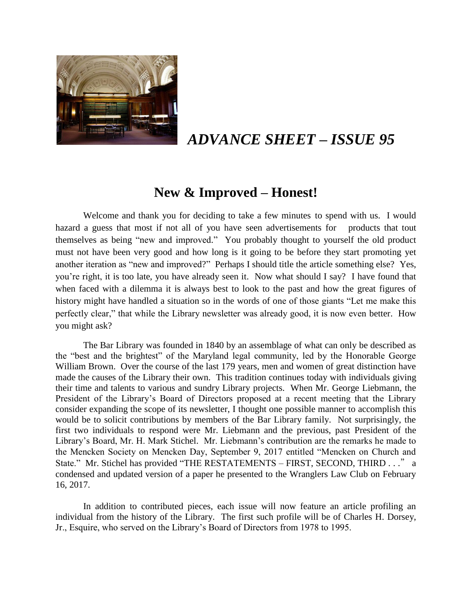

# *ADVANCE SHEET – ISSUE 95*

## **New & Improved – Honest!**

Welcome and thank you for deciding to take a few minutes to spend with us. I would hazard a guess that most if not all of you have seen advertisements for products that tout themselves as being "new and improved." You probably thought to yourself the old product must not have been very good and how long is it going to be before they start promoting yet another iteration as "new and improved?" Perhaps I should title the article something else? Yes, you're right, it is too late, you have already seen it. Now what should I say? I have found that when faced with a dilemma it is always best to look to the past and how the great figures of history might have handled a situation so in the words of one of those giants "Let me make this perfectly clear," that while the Library newsletter was already good, it is now even better. How you might ask?

The Bar Library was founded in 1840 by an assemblage of what can only be described as the "best and the brightest" of the Maryland legal community, led by the Honorable George William Brown. Over the course of the last 179 years, men and women of great distinction have made the causes of the Library their own. This tradition continues today with individuals giving their time and talents to various and sundry Library projects. When Mr. George Liebmann, the President of the Library's Board of Directors proposed at a recent meeting that the Library consider expanding the scope of its newsletter, I thought one possible manner to accomplish this would be to solicit contributions by members of the Bar Library family. Not surprisingly, the first two individuals to respond were Mr. Liebmann and the previous, past President of the Library's Board, Mr. H. Mark Stichel. Mr. Liebmann's contribution are the remarks he made to the Mencken Society on Mencken Day, September 9, 2017 entitled "Mencken on Church and State." Mr. Stichel has provided "THE RESTATEMENTS – FIRST, SECOND, THIRD . . ." a condensed and updated version of a paper he presented to the Wranglers Law Club on February 16, 2017.

In addition to contributed pieces, each issue will now feature an article profiling an individual from the history of the Library. The first such profile will be of Charles H. Dorsey, Jr., Esquire, who served on the Library's Board of Directors from 1978 to 1995.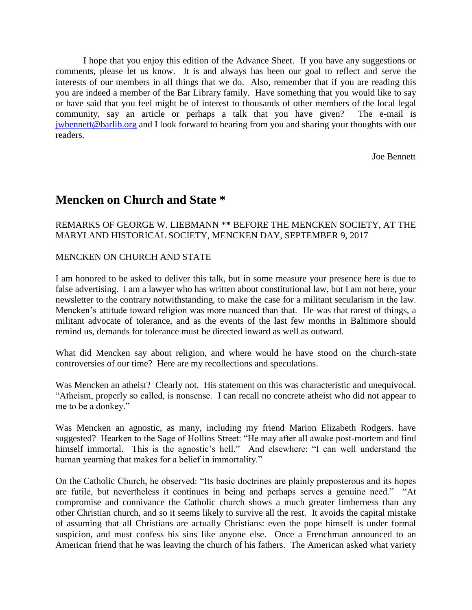I hope that you enjoy this edition of the Advance Sheet. If you have any suggestions or comments, please let us know. It is and always has been our goal to reflect and serve the interests of our members in all things that we do. Also, remember that if you are reading this you are indeed a member of the Bar Library family. Have something that you would like to say or have said that you feel might be of interest to thousands of other members of the local legal community, say an article or perhaps a talk that you have given? The e-mail is [jwbennett@barlib.org](mailto:jwbennett@barlib.org) and I look forward to hearing from you and sharing your thoughts with our readers.

Joe Bennett

## **Mencken on Church and State \***

### REMARKS OF GEORGE W. LIEBMANN \***\*** BEFORE THE MENCKEN SOCIETY, AT THE MARYLAND HISTORICAL SOCIETY, MENCKEN DAY, SEPTEMBER 9, 2017

### MENCKEN ON CHURCH AND STATE

I am honored to be asked to deliver this talk, but in some measure your presence here is due to false advertising. I am a lawyer who has written about constitutional law, but I am not here, your newsletter to the contrary notwithstanding, to make the case for a militant secularism in the law. Mencken's attitude toward religion was more nuanced than that. He was that rarest of things, a militant advocate of tolerance, and as the events of the last few months in Baltimore should remind us, demands for tolerance must be directed inward as well as outward.

What did Mencken say about religion, and where would he have stood on the church-state controversies of our time? Here are my recollections and speculations.

Was Mencken an atheist? Clearly not. His statement on this was characteristic and unequivocal. "Atheism, properly so called, is nonsense. I can recall no concrete atheist who did not appear to me to be a donkey."

Was Mencken an agnostic, as many, including my friend Marion Elizabeth Rodgers. have suggested? Hearken to the Sage of Hollins Street: "He may after all awake post-mortem and find himself immortal. This is the agnostic's hell." And elsewhere: "I can well understand the human yearning that makes for a belief in immortality."

On the Catholic Church, he observed: "Its basic doctrines are plainly preposterous and its hopes are futile, but nevertheless it continues in being and perhaps serves a genuine need." "At compromise and connivance the Catholic church shows a much greater limberness than any other Christian church, and so it seems likely to survive all the rest. It avoids the capital mistake of assuming that all Christians are actually Christians: even the pope himself is under formal suspicion, and must confess his sins like anyone else. Once a Frenchman announced to an American friend that he was leaving the church of his fathers. The American asked what variety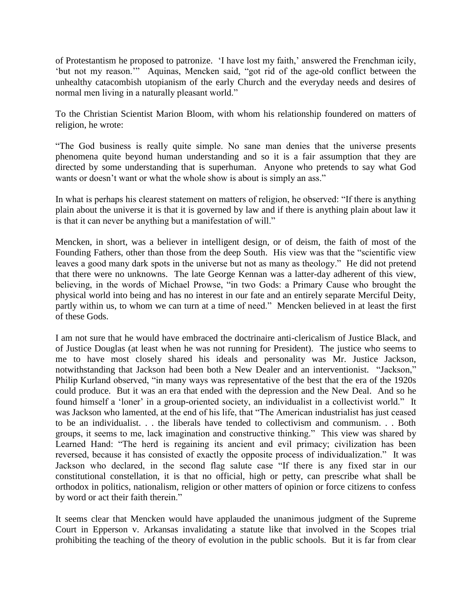of Protestantism he proposed to patronize. 'I have lost my faith,' answered the Frenchman icily, 'but not my reason.'" Aquinas, Mencken said, "got rid of the age-old conflict between the unhealthy catacombish utopianism of the early Church and the everyday needs and desires of normal men living in a naturally pleasant world."

To the Christian Scientist Marion Bloom, with whom his relationship foundered on matters of religion, he wrote:

"The God business is really quite simple. No sane man denies that the universe presents phenomena quite beyond human understanding and so it is a fair assumption that they are directed by some understanding that is superhuman. Anyone who pretends to say what God wants or doesn't want or what the whole show is about is simply an ass."

In what is perhaps his clearest statement on matters of religion, he observed: "If there is anything plain about the universe it is that it is governed by law and if there is anything plain about law it is that it can never be anything but a manifestation of will."

Mencken, in short, was a believer in intelligent design, or of deism, the faith of most of the Founding Fathers, other than those from the deep South. His view was that the "scientific view leaves a good many dark spots in the universe but not as many as theology." He did not pretend that there were no unknowns. The late George Kennan was a latter-day adherent of this view, believing, in the words of Michael Prowse, "in two Gods: a Primary Cause who brought the physical world into being and has no interest in our fate and an entirely separate Merciful Deity, partly within us, to whom we can turn at a time of need." Mencken believed in at least the first of these Gods.

I am not sure that he would have embraced the doctrinaire anti-clericalism of Justice Black, and of Justice Douglas (at least when he was not running for President). The justice who seems to me to have most closely shared his ideals and personality was Mr. Justice Jackson, notwithstanding that Jackson had been both a New Dealer and an interventionist. "Jackson," Philip Kurland observed, "in many ways was representative of the best that the era of the 1920s could produce. But it was an era that ended with the depression and the New Deal. And so he found himself a 'loner' in a group-oriented society, an individualist in a collectivist world." It was Jackson who lamented, at the end of his life, that "The American industrialist has just ceased to be an individualist. . . the liberals have tended to collectivism and communism. . . Both groups, it seems to me, lack imagination and constructive thinking." This view was shared by Learned Hand: "The herd is regaining its ancient and evil primacy; civilization has been reversed, because it has consisted of exactly the opposite process of individualization." It was Jackson who declared, in the second flag salute case "If there is any fixed star in our constitutional constellation, it is that no official, high or petty, can prescribe what shall be orthodox in politics, nationalism, religion or other matters of opinion or force citizens to confess by word or act their faith therein."

It seems clear that Mencken would have applauded the unanimous judgment of the Supreme Court in Epperson v. Arkansas invalidating a statute like that involved in the Scopes trial prohibiting the teaching of the theory of evolution in the public schools. But it is far from clear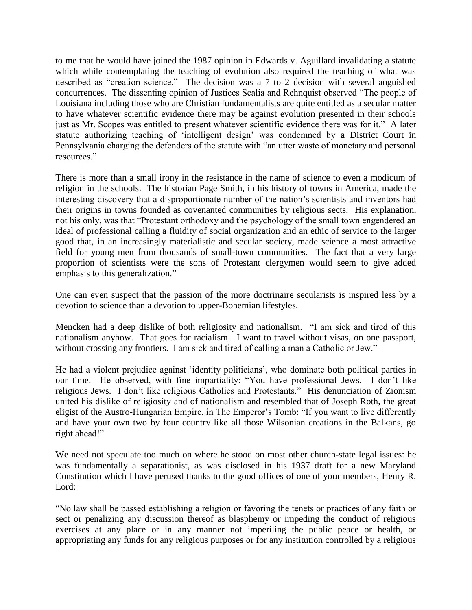to me that he would have joined the 1987 opinion in Edwards v. Aguillard invalidating a statute which while contemplating the teaching of evolution also required the teaching of what was described as "creation science." The decision was a 7 to 2 decision with several anguished concurrences. The dissenting opinion of Justices Scalia and Rehnquist observed "The people of Louisiana including those who are Christian fundamentalists are quite entitled as a secular matter to have whatever scientific evidence there may be against evolution presented in their schools just as Mr. Scopes was entitled to present whatever scientific evidence there was for it." A later statute authorizing teaching of 'intelligent design' was condemned by a District Court in Pennsylvania charging the defenders of the statute with "an utter waste of monetary and personal resources."

There is more than a small irony in the resistance in the name of science to even a modicum of religion in the schools. The historian Page Smith, in his history of towns in America, made the interesting discovery that a disproportionate number of the nation's scientists and inventors had their origins in towns founded as covenanted communities by religious sects. His explanation, not his only, was that "Protestant orthodoxy and the psychology of the small town engendered an ideal of professional calling a fluidity of social organization and an ethic of service to the larger good that, in an increasingly materialistic and secular society, made science a most attractive field for young men from thousands of small-town communities. The fact that a very large proportion of scientists were the sons of Protestant clergymen would seem to give added emphasis to this generalization."

One can even suspect that the passion of the more doctrinaire secularists is inspired less by a devotion to science than a devotion to upper-Bohemian lifestyles.

Mencken had a deep dislike of both religiosity and nationalism. "I am sick and tired of this nationalism anyhow. That goes for racialism. I want to travel without visas, on one passport, without crossing any frontiers. I am sick and tired of calling a man a Catholic or Jew."

He had a violent prejudice against 'identity politicians', who dominate both political parties in our time. He observed, with fine impartiality: "You have professional Jews. I don't like religious Jews. I don't like religious Catholics and Protestants." His denunciation of Zionism united his dislike of religiosity and of nationalism and resembled that of Joseph Roth, the great eligist of the Austro-Hungarian Empire, in The Emperor's Tomb: "If you want to live differently and have your own two by four country like all those Wilsonian creations in the Balkans, go right ahead!"

We need not speculate too much on where he stood on most other church-state legal issues: he was fundamentally a separationist, as was disclosed in his 1937 draft for a new Maryland Constitution which I have perused thanks to the good offices of one of your members, Henry R. Lord:

"No law shall be passed establishing a religion or favoring the tenets or practices of any faith or sect or penalizing any discussion thereof as blasphemy or impeding the conduct of religious exercises at any place or in any manner not imperiling the public peace or health, or appropriating any funds for any religious purposes or for any institution controlled by a religious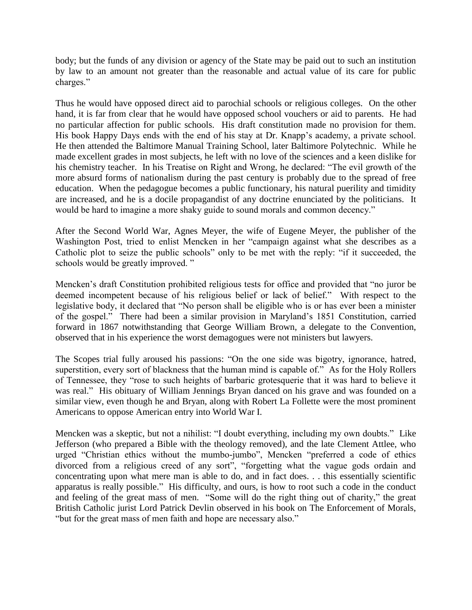body; but the funds of any division or agency of the State may be paid out to such an institution by law to an amount not greater than the reasonable and actual value of its care for public charges."

Thus he would have opposed direct aid to parochial schools or religious colleges. On the other hand, it is far from clear that he would have opposed school vouchers or aid to parents. He had no particular affection for public schools. His draft constitution made no provision for them. His book Happy Days ends with the end of his stay at Dr. Knapp's academy, a private school. He then attended the Baltimore Manual Training School, later Baltimore Polytechnic. While he made excellent grades in most subjects, he left with no love of the sciences and a keen dislike for his chemistry teacher. In his Treatise on Right and Wrong, he declared: "The evil growth of the more absurd forms of nationalism during the past century is probably due to the spread of free education. When the pedagogue becomes a public functionary, his natural puerility and timidity are increased, and he is a docile propagandist of any doctrine enunciated by the politicians. It would be hard to imagine a more shaky guide to sound morals and common decency."

After the Second World War, Agnes Meyer, the wife of Eugene Meyer, the publisher of the Washington Post, tried to enlist Mencken in her "campaign against what she describes as a Catholic plot to seize the public schools" only to be met with the reply: "if it succeeded, the schools would be greatly improved. "

Mencken's draft Constitution prohibited religious tests for office and provided that "no juror be deemed incompetent because of his religious belief or lack of belief." With respect to the legislative body, it declared that "No person shall be eligible who is or has ever been a minister of the gospel." There had been a similar provision in Maryland's 1851 Constitution, carried forward in 1867 notwithstanding that George William Brown, a delegate to the Convention, observed that in his experience the worst demagogues were not ministers but lawyers.

The Scopes trial fully aroused his passions: "On the one side was bigotry, ignorance, hatred, superstition, every sort of blackness that the human mind is capable of." As for the Holy Rollers of Tennessee, they "rose to such heights of barbaric grotesquerie that it was hard to believe it was real." His obituary of William Jennings Bryan danced on his grave and was founded on a similar view, even though he and Bryan, along with Robert La Follette were the most prominent Americans to oppose American entry into World War I.

Mencken was a skeptic, but not a nihilist: "I doubt everything, including my own doubts." Like Jefferson (who prepared a Bible with the theology removed), and the late Clement Attlee, who urged "Christian ethics without the mumbo-jumbo", Mencken "preferred a code of ethics divorced from a religious creed of any sort", "forgetting what the vague gods ordain and concentrating upon what mere man is able to do, and in fact does. . . this essentially scientific apparatus is really possible." His difficulty, and ours, is how to root such a code in the conduct and feeling of the great mass of men. "Some will do the right thing out of charity," the great British Catholic jurist Lord Patrick Devlin observed in his book on The Enforcement of Morals, "but for the great mass of men faith and hope are necessary also."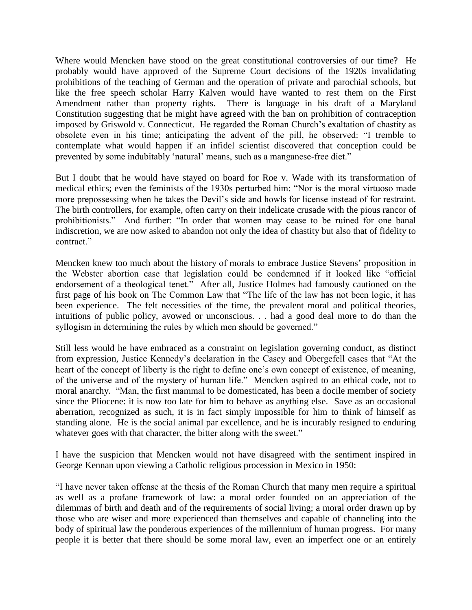Where would Mencken have stood on the great constitutional controversies of our time? He probably would have approved of the Supreme Court decisions of the 1920s invalidating prohibitions of the teaching of German and the operation of private and parochial schools, but like the free speech scholar Harry Kalven would have wanted to rest them on the First Amendment rather than property rights. There is language in his draft of a Maryland Constitution suggesting that he might have agreed with the ban on prohibition of contraception imposed by Griswold v. Connecticut. He regarded the Roman Church's exaltation of chastity as obsolete even in his time; anticipating the advent of the pill, he observed: "I tremble to contemplate what would happen if an infidel scientist discovered that conception could be prevented by some indubitably 'natural' means, such as a manganese-free diet."

But I doubt that he would have stayed on board for Roe v. Wade with its transformation of medical ethics; even the feminists of the 1930s perturbed him: "Nor is the moral virtuoso made more prepossessing when he takes the Devil's side and howls for license instead of for restraint. The birth controllers, for example, often carry on their indelicate crusade with the pious rancor of prohibitionists." And further: "In order that women may cease to be ruined for one banal indiscretion, we are now asked to abandon not only the idea of chastity but also that of fidelity to contract."

Mencken knew too much about the history of morals to embrace Justice Stevens' proposition in the Webster abortion case that legislation could be condemned if it looked like "official endorsement of a theological tenet." After all, Justice Holmes had famously cautioned on the first page of his book on The Common Law that "The life of the law has not been logic, it has been experience. The felt necessities of the time, the prevalent moral and political theories, intuitions of public policy, avowed or unconscious. . . had a good deal more to do than the syllogism in determining the rules by which men should be governed."

Still less would he have embraced as a constraint on legislation governing conduct, as distinct from expression, Justice Kennedy's declaration in the Casey and Obergefell cases that "At the heart of the concept of liberty is the right to define one's own concept of existence, of meaning, of the universe and of the mystery of human life." Mencken aspired to an ethical code, not to moral anarchy. "Man, the first mammal to be domesticated, has been a docile member of society since the Pliocene: it is now too late for him to behave as anything else. Save as an occasional aberration, recognized as such, it is in fact simply impossible for him to think of himself as standing alone. He is the social animal par excellence, and he is incurably resigned to enduring whatever goes with that character, the bitter along with the sweet."

I have the suspicion that Mencken would not have disagreed with the sentiment inspired in George Kennan upon viewing a Catholic religious procession in Mexico in 1950:

"I have never taken offense at the thesis of the Roman Church that many men require a spiritual as well as a profane framework of law: a moral order founded on an appreciation of the dilemmas of birth and death and of the requirements of social living; a moral order drawn up by those who are wiser and more experienced than themselves and capable of channeling into the body of spiritual law the ponderous experiences of the millennium of human progress. For many people it is better that there should be some moral law, even an imperfect one or an entirely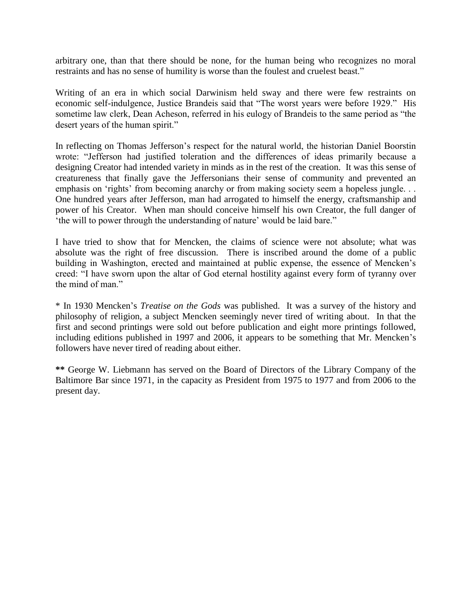arbitrary one, than that there should be none, for the human being who recognizes no moral restraints and has no sense of humility is worse than the foulest and cruelest beast."

Writing of an era in which social Darwinism held sway and there were few restraints on economic self-indulgence, Justice Brandeis said that "The worst years were before 1929." His sometime law clerk, Dean Acheson, referred in his eulogy of Brandeis to the same period as "the desert years of the human spirit."

In reflecting on Thomas Jefferson's respect for the natural world, the historian Daniel Boorstin wrote: "Jefferson had justified toleration and the differences of ideas primarily because a designing Creator had intended variety in minds as in the rest of the creation. It was this sense of creatureness that finally gave the Jeffersonians their sense of community and prevented an emphasis on 'rights' from becoming anarchy or from making society seem a hopeless jungle. . . One hundred years after Jefferson, man had arrogated to himself the energy, craftsmanship and power of his Creator. When man should conceive himself his own Creator, the full danger of 'the will to power through the understanding of nature' would be laid bare."

I have tried to show that for Mencken, the claims of science were not absolute; what was absolute was the right of free discussion. There is inscribed around the dome of a public building in Washington, erected and maintained at public expense, the essence of Mencken's creed: "I have sworn upon the altar of God eternal hostility against every form of tyranny over the mind of man."

\* In 1930 Mencken's *Treatise on the Gods* was published. It was a survey of the history and philosophy of religion, a subject Mencken seemingly never tired of writing about. In that the first and second printings were sold out before publication and eight more printings followed, including editions published in 1997 and 2006, it appears to be something that Mr. Mencken's followers have never tired of reading about either.

**\*\*** George W. Liebmann has served on the Board of Directors of the Library Company of the Baltimore Bar since 1971, in the capacity as President from 1975 to 1977 and from 2006 to the present day.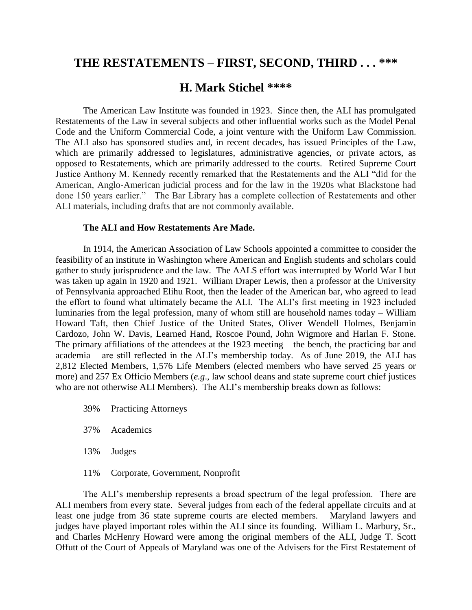## **THE RESTATEMENTS – FIRST, SECOND, THIRD . . . \*\*\***

## **H. Mark Stichel \*\*\*\***

The American Law Institute was founded in 1923. Since then, the ALI has promulgated Restatements of the Law in several subjects and other influential works such as the Model Penal Code and the Uniform Commercial Code, a joint venture with the Uniform Law Commission. The ALI also has sponsored studies and, in recent decades, has issued Principles of the Law, which are primarily addressed to legislatures, administrative agencies, or private actors, as opposed to Restatements, which are primarily addressed to the courts. Retired Supreme Court Justice Anthony M. Kennedy recently remarked that the Restatements and the ALI "did for the American, Anglo-American judicial process and for the law in the 1920s what Blackstone had done 150 years earlier." The Bar Library has a complete collection of Restatements and other ALI materials, including drafts that are not commonly available.

#### **The ALI and How Restatements Are Made.**

In 1914, the American Association of Law Schools appointed a committee to consider the feasibility of an institute in Washington where American and English students and scholars could gather to study jurisprudence and the law. The AALS effort was interrupted by World War I but was taken up again in 1920 and 1921. William Draper Lewis, then a professor at the University of Pennsylvania approached Elihu Root, then the leader of the American bar, who agreed to lead the effort to found what ultimately became the ALI. The ALI's first meeting in 1923 included luminaries from the legal profession, many of whom still are household names today – William Howard Taft, then Chief Justice of the United States, Oliver Wendell Holmes, Benjamin Cardozo, John W. Davis, Learned Hand, Roscoe Pound, John Wigmore and Harlan F. Stone. The primary affiliations of the attendees at the 1923 meeting – the bench, the practicing bar and academia – are still reflected in the ALI's membership today. As of June 2019, the ALI has 2,812 Elected Members, 1,576 Life Members (elected members who have served 25 years or more) and 257 Ex Officio Members (*e.g*., law school deans and state supreme court chief justices who are not otherwise ALI Members). The ALI's membership breaks down as follows:

- 39% Practicing Attorneys
- 37% Academics
- 13% Judges
- 11% Corporate, Government, Nonprofit

The ALI's membership represents a broad spectrum of the legal profession. There are ALI members from every state. Several judges from each of the federal appellate circuits and at least one judge from 36 state supreme courts are elected members. Maryland lawyers and judges have played important roles within the ALI since its founding. William L. Marbury, Sr., and Charles McHenry Howard were among the original members of the ALI, Judge T. Scott Offutt of the Court of Appeals of Maryland was one of the Advisers for the First Restatement of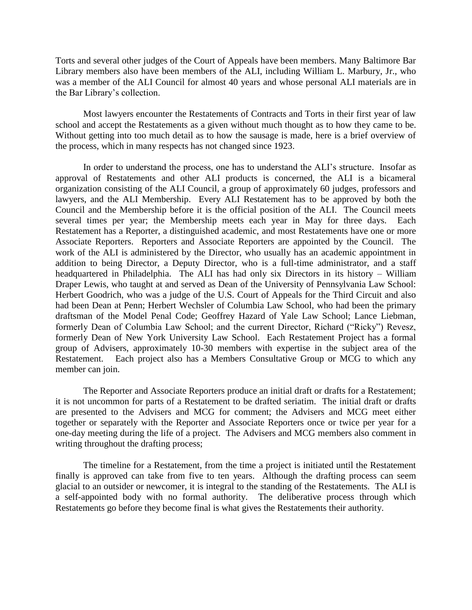Torts and several other judges of the Court of Appeals have been members. Many Baltimore Bar Library members also have been members of the ALI, including William L. Marbury, Jr., who was a member of the ALI Council for almost 40 years and whose personal ALI materials are in the Bar Library's collection.

Most lawyers encounter the Restatements of Contracts and Torts in their first year of law school and accept the Restatements as a given without much thought as to how they came to be. Without getting into too much detail as to how the sausage is made, here is a brief overview of the process, which in many respects has not changed since 1923.

In order to understand the process, one has to understand the ALI's structure. Insofar as approval of Restatements and other ALI products is concerned, the ALI is a bicameral organization consisting of the ALI Council, a group of approximately 60 judges, professors and lawyers, and the ALI Membership. Every ALI Restatement has to be approved by both the Council and the Membership before it is the official position of the ALI. The Council meets several times per year; the Membership meets each year in May for three days. Each Restatement has a Reporter, a distinguished academic, and most Restatements have one or more Associate Reporters. Reporters and Associate Reporters are appointed by the Council. The work of the ALI is administered by the Director, who usually has an academic appointment in addition to being Director, a Deputy Director, who is a full-time administrator, and a staff headquartered in Philadelphia. The ALI has had only six Directors in its history – William Draper Lewis, who taught at and served as Dean of the University of Pennsylvania Law School: Herbert Goodrich, who was a judge of the U.S. Court of Appeals for the Third Circuit and also had been Dean at Penn; Herbert Wechsler of Columbia Law School, who had been the primary draftsman of the Model Penal Code; Geoffrey Hazard of Yale Law School; Lance Liebman, formerly Dean of Columbia Law School; and the current Director, Richard ("Ricky") Revesz, formerly Dean of New York University Law School. Each Restatement Project has a formal group of Advisers, approximately 10-30 members with expertise in the subject area of the Restatement. Each project also has a Members Consultative Group or MCG to which any member can join.

The Reporter and Associate Reporters produce an initial draft or drafts for a Restatement; it is not uncommon for parts of a Restatement to be drafted seriatim. The initial draft or drafts are presented to the Advisers and MCG for comment; the Advisers and MCG meet either together or separately with the Reporter and Associate Reporters once or twice per year for a one-day meeting during the life of a project. The Advisers and MCG members also comment in writing throughout the drafting process;

The timeline for a Restatement, from the time a project is initiated until the Restatement finally is approved can take from five to ten years. Although the drafting process can seem glacial to an outsider or newcomer, it is integral to the standing of the Restatements. The ALI is a self-appointed body with no formal authority. The deliberative process through which Restatements go before they become final is what gives the Restatements their authority.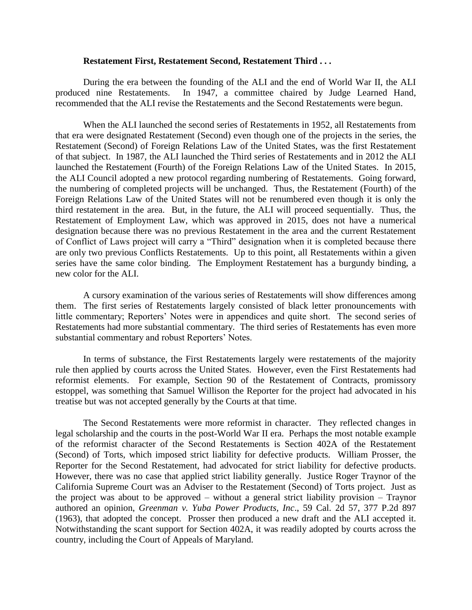#### **Restatement First, Restatement Second, Restatement Third . . .**

During the era between the founding of the ALI and the end of World War II, the ALI produced nine Restatements. In 1947, a committee chaired by Judge Learned Hand, recommended that the ALI revise the Restatements and the Second Restatements were begun.

When the ALI launched the second series of Restatements in 1952, all Restatements from that era were designated Restatement (Second) even though one of the projects in the series, the Restatement (Second) of Foreign Relations Law of the United States, was the first Restatement of that subject. In 1987, the ALI launched the Third series of Restatements and in 2012 the ALI launched the Restatement (Fourth) of the Foreign Relations Law of the United States. In 2015, the ALI Council adopted a new protocol regarding numbering of Restatements. Going forward, the numbering of completed projects will be unchanged. Thus, the Restatement (Fourth) of the Foreign Relations Law of the United States will not be renumbered even though it is only the third restatement in the area. But, in the future, the ALI will proceed sequentially. Thus, the Restatement of Employment Law, which was approved in 2015, does not have a numerical designation because there was no previous Restatement in the area and the current Restatement of Conflict of Laws project will carry a "Third" designation when it is completed because there are only two previous Conflicts Restatements. Up to this point, all Restatements within a given series have the same color binding. The Employment Restatement has a burgundy binding, a new color for the ALI.

A cursory examination of the various series of Restatements will show differences among them. The first series of Restatements largely consisted of black letter pronouncements with little commentary; Reporters' Notes were in appendices and quite short. The second series of Restatements had more substantial commentary. The third series of Restatements has even more substantial commentary and robust Reporters' Notes.

In terms of substance, the First Restatements largely were restatements of the majority rule then applied by courts across the United States. However, even the First Restatements had reformist elements. For example, Section 90 of the Restatement of Contracts, promissory estoppel, was something that Samuel Willison the Reporter for the project had advocated in his treatise but was not accepted generally by the Courts at that time.

The Second Restatements were more reformist in character. They reflected changes in legal scholarship and the courts in the post-World War II era. Perhaps the most notable example of the reformist character of the Second Restatements is Section 402A of the Restatement (Second) of Torts, which imposed strict liability for defective products. William Prosser, the Reporter for the Second Restatement, had advocated for strict liability for defective products. However, there was no case that applied strict liability generally. Justice Roger Traynor of the California Supreme Court was an Adviser to the Restatement (Second) of Torts project. Just as the project was about to be approved – without a general strict liability provision – Traynor authored an opinion, *Greenman v. Yuba Power Products, Inc*., 59 Cal. 2d 57, 377 P.2d 897 (1963), that adopted the concept. Prosser then produced a new draft and the ALI accepted it. Notwithstanding the scant support for Section 402A, it was readily adopted by courts across the country, including the Court of Appeals of Maryland.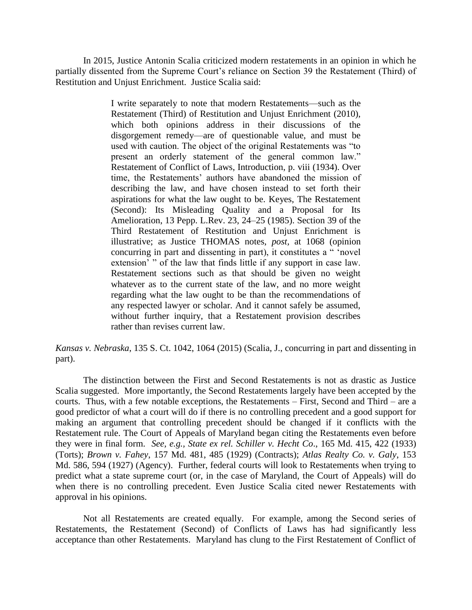In 2015, Justice Antonin Scalia criticized modern restatements in an opinion in which he partially dissented from the Supreme Court's reliance on Section 39 the Restatement (Third) of Restitution and Unjust Enrichment. Justice Scalia said:

> I write separately to note that modern Restatements—such as the Restatement (Third) of Restitution and Unjust Enrichment (2010), which both opinions address in their discussions of the disgorgement remedy—are of questionable value, and must be used with caution. The object of the original Restatements was "to present an orderly statement of the general common law." Restatement of Conflict of Laws, Introduction, p. viii (1934). Over time, the Restatements' authors have abandoned the mission of describing the law, and have chosen instead to set forth their aspirations for what the law ought to be. Keyes, The Restatement (Second): Its Misleading Quality and a Proposal for Its Amelioration, 13 Pepp. L.Rev. 23, 24–25 (1985). Section 39 of the Third Restatement of Restitution and Unjust Enrichment is illustrative; as Justice THOMAS notes, *post,* at 1068 (opinion concurring in part and dissenting in part), it constitutes a " 'novel extension' " of the law that finds little if any support in case law. Restatement sections such as that should be given no weight whatever as to the current state of the law, and no more weight regarding what the law ought to be than the recommendations of any respected lawyer or scholar. And it cannot safely be assumed, without further inquiry, that a Restatement provision describes rather than revises current law.

*Kansas v. Nebraska*, 135 S. Ct. 1042, 1064 (2015) (Scalia, J., concurring in part and dissenting in part).

The distinction between the First and Second Restatements is not as drastic as Justice Scalia suggested. More importantly, the Second Restatements largely have been accepted by the courts. Thus, with a few notable exceptions, the Restatements – First, Second and Third – are a good predictor of what a court will do if there is no controlling precedent and a good support for making an argument that controlling precedent should be changed if it conflicts with the Restatement rule. The Court of Appeals of Maryland began citing the Restatements even before they were in final form. *See, e.g., State ex rel. Schiller v. Hecht Co*., 165 Md. 415, 422 (1933) (Torts); *Brown v. Fahey*, 157 Md. 481, 485 (1929) (Contracts); *Atlas Realty Co. v. Galy*, 153 Md. 586, 594 (1927) (Agency). Further, federal courts will look to Restatements when trying to predict what a state supreme court (or, in the case of Maryland, the Court of Appeals) will do when there is no controlling precedent. Even Justice Scalia cited newer Restatements with approval in his opinions.

Not all Restatements are created equally. For example, among the Second series of Restatements, the Restatement (Second) of Conflicts of Laws has had significantly less acceptance than other Restatements. Maryland has clung to the First Restatement of Conflict of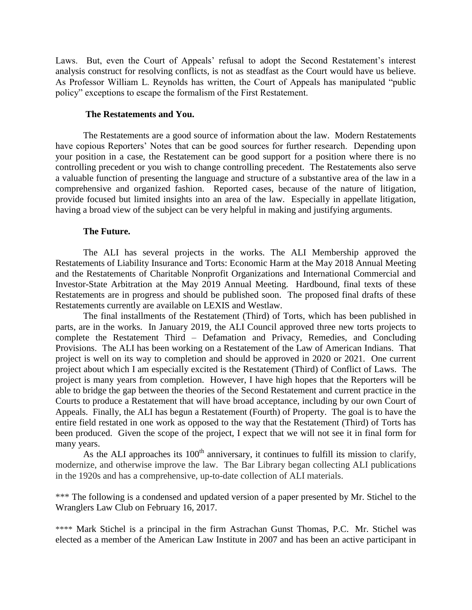Laws. But, even the Court of Appeals' refusal to adopt the Second Restatement's interest analysis construct for resolving conflicts, is not as steadfast as the Court would have us believe. As Professor William L. Reynolds has written, the Court of Appeals has manipulated "public policy" exceptions to escape the formalism of the First Restatement.

#### **The Restatements and You.**

The Restatements are a good source of information about the law. Modern Restatements have copious Reporters' Notes that can be good sources for further research. Depending upon your position in a case, the Restatement can be good support for a position where there is no controlling precedent or you wish to change controlling precedent. The Restatements also serve a valuable function of presenting the language and structure of a substantive area of the law in a comprehensive and organized fashion. Reported cases, because of the nature of litigation, provide focused but limited insights into an area of the law. Especially in appellate litigation, having a broad view of the subject can be very helpful in making and justifying arguments.

### **The Future.**

The ALI has several projects in the works. The ALI Membership approved the Restatements of Liability Insurance and Torts: Economic Harm at the May 2018 Annual Meeting and the Restatements of Charitable Nonprofit Organizations and International Commercial and Investor-State Arbitration at the May 2019 Annual Meeting. Hardbound, final texts of these Restatements are in progress and should be published soon. The proposed final drafts of these Restatements currently are available on LEXIS and Westlaw.

The final installments of the Restatement (Third) of Torts, which has been published in parts, are in the works. In January 2019, the ALI Council approved three new torts projects to complete the Restatement Third – Defamation and Privacy, Remedies, and Concluding Provisions. The ALI has been working on a Restatement of the Law of American Indians. That project is well on its way to completion and should be approved in 2020 or 2021. One current project about which I am especially excited is the Restatement (Third) of Conflict of Laws. The project is many years from completion. However, I have high hopes that the Reporters will be able to bridge the gap between the theories of the Second Restatement and current practice in the Courts to produce a Restatement that will have broad acceptance, including by our own Court of Appeals. Finally, the ALI has begun a Restatement (Fourth) of Property. The goal is to have the entire field restated in one work as opposed to the way that the Restatement (Third) of Torts has been produced. Given the scope of the project, I expect that we will not see it in final form for many years.

As the ALI approaches its  $100<sup>th</sup>$  anniversary, it continues to fulfill its mission to clarify, modernize, and otherwise improve the law. The Bar Library began collecting ALI publications in the 1920s and has a comprehensive, up-to-date collection of ALI materials.

\*\*\* The following is a condensed and updated version of a paper presented by Mr. Stichel to the Wranglers Law Club on February 16, 2017.

\*\*\*\* Mark Stichel is a principal in the firm Astrachan Gunst Thomas, P.C. Mr. Stichel was elected as a member of the American Law Institute in 2007 and has been an active participant in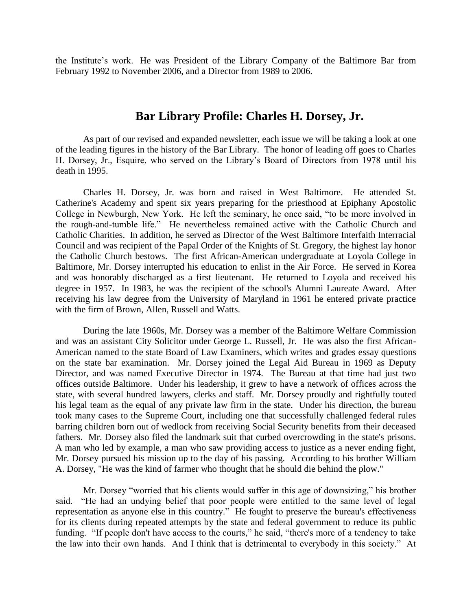the Institute's work. He was President of the Library Company of the Baltimore Bar from February 1992 to November 2006, and a Director from 1989 to 2006.

## **Bar Library Profile: Charles H. Dorsey, Jr.**

As part of our revised and expanded newsletter, each issue we will be taking a look at one of the leading figures in the history of the Bar Library. The honor of leading off goes to Charles H. Dorsey, Jr., Esquire, who served on the Library's Board of Directors from 1978 until his death in 1995.

Charles H. Dorsey, Jr. was born and raised in West Baltimore. He attended St. Catherine's Academy and spent six years preparing for the priesthood at Epiphany Apostolic College in Newburgh, New York. He left the seminary, he once said, "to be more involved in the rough-and-tumble life." He nevertheless remained active with the Catholic Church and Catholic Charities. In addition, he served as Director of the West Baltimore Interfaith Interracial Council and was recipient of the Papal Order of the Knights of St. Gregory, the highest lay honor the Catholic Church bestows. The first African-American undergraduate at Loyola College in Baltimore, Mr. Dorsey interrupted his education to enlist in the Air Force. He served in Korea and was honorably discharged as a first lieutenant. He returned to Loyola and received his degree in 1957. In 1983, he was the recipient of the school's Alumni Laureate Award. After receiving his law degree from the University of Maryland in 1961 he entered private practice with the firm of Brown, Allen, Russell and Watts.

During the late 1960s, Mr. Dorsey was a member of the Baltimore Welfare Commission and was an assistant City Solicitor under George L. Russell, Jr. He was also the first African-American named to the state Board of Law Examiners, which writes and grades essay questions on the state bar examination. Mr. Dorsey joined the Legal Aid Bureau in 1969 as Deputy Director, and was named Executive Director in 1974. The Bureau at that time had just two offices outside Baltimore. Under his leadership, it grew to have a network of offices across the state, with several hundred lawyers, clerks and staff. Mr. Dorsey proudly and rightfully touted his legal team as the equal of any private law firm in the state. Under his direction, the bureau took many cases to the Supreme Court, including one that successfully challenged federal rules barring children born out of wedlock from receiving Social Security benefits from their deceased fathers. Mr. Dorsey also filed the landmark suit that curbed overcrowding in the state's prisons. A man who led by example, a man who saw providing access to justice as a never ending fight, Mr. Dorsey pursued his mission up to the day of his passing. According to his brother William A. Dorsey, "He was the kind of farmer who thought that he should die behind the plow."

Mr. Dorsey "worried that his clients would suffer in this age of downsizing," his brother said. "He had an undying belief that poor people were entitled to the same level of legal representation as anyone else in this country." He fought to preserve the bureau's effectiveness for its clients during repeated attempts by the state and federal government to reduce its public funding. "If people don't have access to the courts," he said, "there's more of a tendency to take the law into their own hands. And I think that is detrimental to everybody in this society." At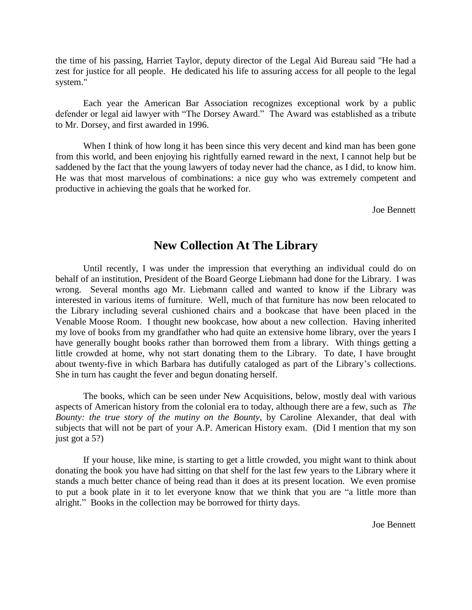the time of his passing, Harriet Taylor, deputy director of the Legal Aid Bureau said "He had a zest for justice for all people. He dedicated his life to assuring access for all people to the legal system."

Each year the American Bar Association recognizes exceptional work by a public defender or legal aid lawyer with "The Dorsey Award." The Award was established as a tribute to Mr. Dorsey, and first awarded in 1996.

When I think of how long it has been since this very decent and kind man has been gone from this world, and been enjoying his rightfully earned reward in the next, I cannot help but be saddened by the fact that the young lawyers of today never had the chance, as I did, to know him. He was that most marvelous of combinations: a nice guy who was extremely competent and productive in achieving the goals that he worked for.

Joe Bennett

## **New Collection At The Library**

Until recently, I was under the impression that everything an individual could do on behalf of an institution, President of the Board George Liebmann had done for the Library. I was wrong. Several months ago Mr. Liebmann called and wanted to know if the Library was interested in various items of furniture. Well, much of that furniture has now been relocated to the Library including several cushioned chairs and a bookcase that have been placed in the Venable Moose Room. I thought new bookcase, how about a new collection. Having inherited my love of books from my grandfather who had quite an extensive home library, over the years I have generally bought books rather than borrowed them from a library. With things getting a little crowded at home, why not start donating them to the Library. To date, I have brought about twenty-five in which Barbara has dutifully cataloged as part of the Library's collections. She in turn has caught the fever and begun donating herself.

The books, which can be seen under New Acquisitions, below, mostly deal with various aspects of American history from the colonial era to today, although there are a few, such as *The Bounty: the true story of the mutiny on the Bounty*, by Caroline Alexander, that deal with subjects that will not be part of your A.P. American History exam. (Did I mention that my son just got a 5?)

If your house, like mine, is starting to get a little crowded, you might want to think about donating the book you have had sitting on that shelf for the last few years to the Library where it stands a much better chance of being read than it does at its present location. We even promise to put a book plate in it to let everyone know that we think that you are "a little more than alright." Books in the collection may be borrowed for thirty days.

Joe Bennett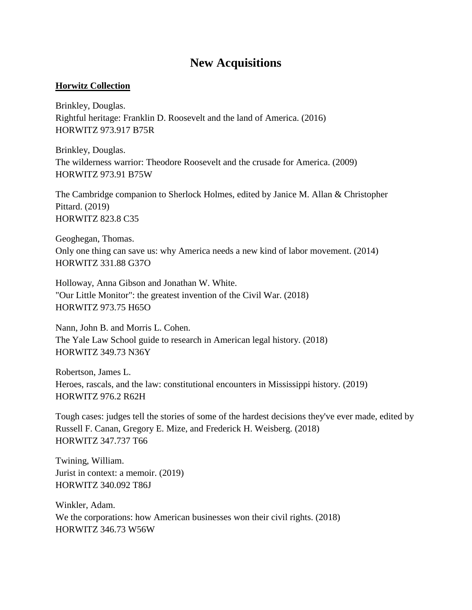## **New Acquisitions**

## **Horwitz Collection**

Brinkley, Douglas. Rightful heritage: Franklin D. Roosevelt and the land of America. (2016) HORWITZ 973.917 B75R

Brinkley, Douglas. The wilderness warrior: Theodore Roosevelt and the crusade for America. (2009) HORWITZ 973.91 B75W

The Cambridge companion to Sherlock Holmes, edited by Janice M. Allan & Christopher Pittard. (2019) HORWITZ 823.8 C35

Geoghegan, Thomas. Only one thing can save us: why America needs a new kind of labor movement. (2014) HORWITZ 331.88 G37O

Holloway, Anna Gibson and Jonathan W. White. "Our Little Monitor": the greatest invention of the Civil War. (2018) HORWITZ 973.75 H65O

Nann, John B. and Morris L. Cohen. The Yale Law School guide to research in American legal history. (2018) HORWITZ 349.73 N36Y

Robertson, James L. Heroes, rascals, and the law: constitutional encounters in Mississippi history. (2019) HORWITZ 976.2 R62H

Tough cases: judges tell the stories of some of the hardest decisions they've ever made, edited by Russell F. Canan, Gregory E. Mize, and Frederick H. Weisberg. (2018) HORWITZ 347.737 T66

Twining, William. Jurist in context: a memoir. (2019) HORWITZ 340.092 T86J

Winkler, Adam. We the corporations: how American businesses won their civil rights. (2018) HORWITZ 346.73 W56W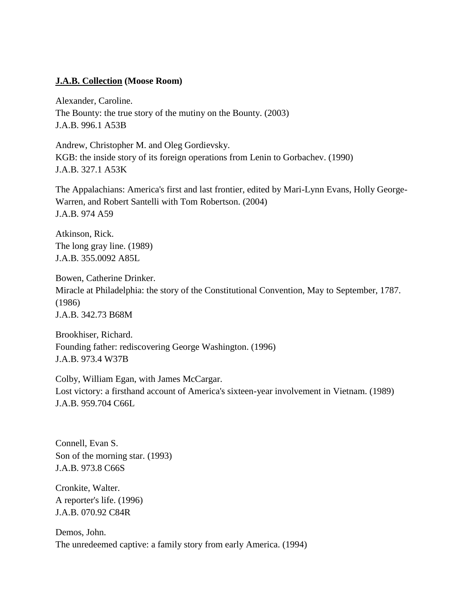## **J.A.B. Collection (Moose Room)**

Alexander, Caroline. The Bounty: the true story of the mutiny on the Bounty. (2003) J.A.B. 996.1 A53B

Andrew, Christopher M. and Oleg Gordievsky. KGB: the inside story of its foreign operations from Lenin to Gorbachev. (1990) J.A.B. 327.1 A53K

The Appalachians: America's first and last frontier, edited by Mari-Lynn Evans, Holly George-Warren, and Robert Santelli with Tom Robertson. (2004) J.A.B. 974 A59

Atkinson, Rick. The long gray line. (1989) J.A.B. 355.0092 A85L

Bowen, Catherine Drinker. Miracle at Philadelphia: the story of the Constitutional Convention, May to September, 1787. (1986) J.A.B. 342.73 B68M

Brookhiser, Richard. Founding father: rediscovering George Washington. (1996) J.A.B. 973.4 W37B

Colby, William Egan, with James McCargar. Lost victory: a firsthand account of America's sixteen-year involvement in Vietnam. (1989) J.A.B. 959.704 C66L

Connell, Evan S. Son of the morning star. (1993) J.A.B. 973.8 C66S

Cronkite, Walter. A reporter's life. (1996) J.A.B. 070.92 C84R

Demos, John. The unredeemed captive: a family story from early America. (1994)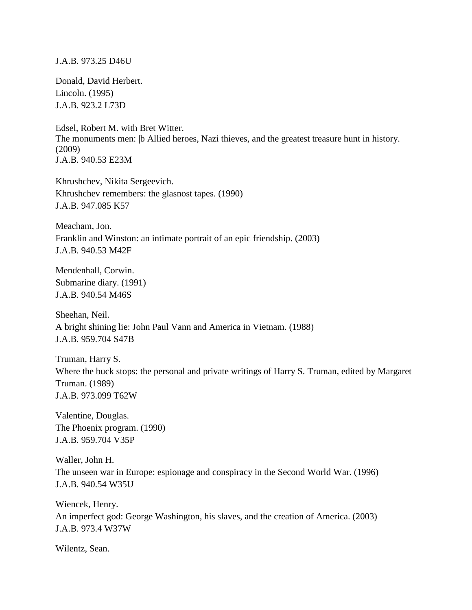### J.A.B. 973.25 D46U

Donald, David Herbert. Lincoln. (1995) J.A.B. 923.2 L73D

Edsel, Robert M. with Bret Witter. The monuments men:  $|b \text{ Allied }$  heroes, Nazi thieves, and the greatest treasure hunt in history. (2009) J.A.B. 940.53 E23M

Khrushchev, Nikita Sergeevich. Khrushchev remembers: the glasnost tapes. (1990) J.A.B. 947.085 K57

Meacham, Jon. Franklin and Winston: an intimate portrait of an epic friendship. (2003) J.A.B. 940.53 M42F

Mendenhall, Corwin. Submarine diary. (1991) J.A.B. 940.54 M46S

Sheehan, Neil. A bright shining lie: John Paul Vann and America in Vietnam. (1988) J.A.B. 959.704 S47B

Truman, Harry S. Where the buck stops: the personal and private writings of Harry S. Truman, edited by Margaret Truman. (1989) J.A.B. 973.099 T62W

Valentine, Douglas. The Phoenix program. (1990) J.A.B. 959.704 V35P

Waller, John H. The unseen war in Europe: espionage and conspiracy in the Second World War. (1996) J.A.B. 940.54 W35U

Wiencek, Henry. An imperfect god: George Washington, his slaves, and the creation of America. (2003) J.A.B. 973.4 W37W

Wilentz, Sean.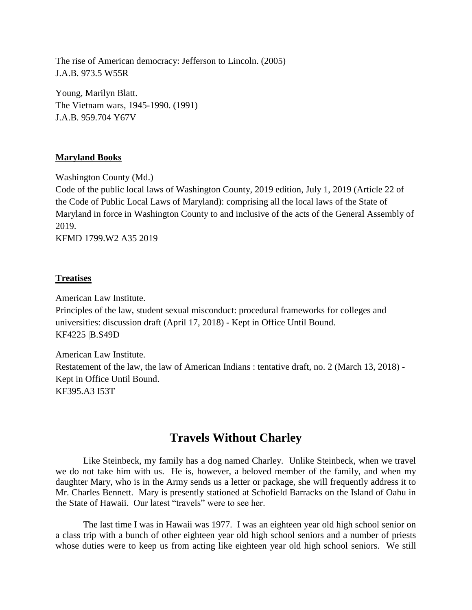The rise of American democracy: Jefferson to Lincoln. (2005) J.A.B. 973.5 W55R

Young, Marilyn Blatt. The Vietnam wars, 1945-1990. (1991) J.A.B. 959.704 Y67V

## **Maryland Books**

Washington County (Md.)

Code of the public local laws of Washington County, 2019 edition, July 1, 2019 (Article 22 of the Code of Public Local Laws of Maryland): comprising all the local laws of the State of Maryland in force in Washington County to and inclusive of the acts of the General Assembly of 2019.

KFMD 1799.W2 A35 2019

## **Treatises**

American Law Institute.

Principles of the law, student sexual misconduct: procedural frameworks for colleges and universities: discussion draft (April 17, 2018) - Kept in Office Until Bound. KF4225 |B.S49D

American Law Institute. Restatement of the law, the law of American Indians : tentative draft, no. 2 (March 13, 2018) - Kept in Office Until Bound. KF395.A3 I53T

## **Travels Without Charley**

Like Steinbeck, my family has a dog named Charley. Unlike Steinbeck, when we travel we do not take him with us. He is, however, a beloved member of the family, and when my daughter Mary, who is in the Army sends us a letter or package, she will frequently address it to Mr. Charles Bennett. Mary is presently stationed at Schofield Barracks on the Island of Oahu in the State of Hawaii. Our latest "travels" were to see her.

The last time I was in Hawaii was 1977. I was an eighteen year old high school senior on a class trip with a bunch of other eighteen year old high school seniors and a number of priests whose duties were to keep us from acting like eighteen year old high school seniors. We still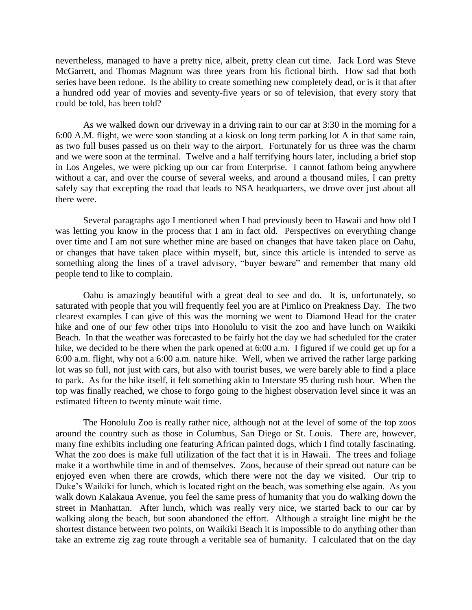nevertheless, managed to have a pretty nice, albeit, pretty clean cut time. Jack Lord was Steve McGarrett, and Thomas Magnum was three years from his fictional birth. How sad that both series have been redone. Is the ability to create something new completely dead, or is it that after a hundred odd year of movies and seventy-five years or so of television, that every story that could be told, has been told?

As we walked down our driveway in a driving rain to our car at 3:30 in the morning for a 6:00 A.M. flight, we were soon standing at a kiosk on long term parking lot A in that same rain, as two full buses passed us on their way to the airport. Fortunately for us three was the charm and we were soon at the terminal. Twelve and a half terrifying hours later, including a brief stop in Los Angeles, we were picking up our car from Enterprise. I cannot fathom being anywhere without a car, and over the course of several weeks, and around a thousand miles, I can pretty safely say that excepting the road that leads to NSA headquarters, we drove over just about all there were.

Several paragraphs ago I mentioned when I had previously been to Hawaii and how old I was letting you know in the process that I am in fact old. Perspectives on everything change over time and I am not sure whether mine are based on changes that have taken place on Oahu, or changes that have taken place within myself, but, since this article is intended to serve as something along the lines of a travel advisory, "buyer beware" and remember that many old people tend to like to complain.

Oahu is amazingly beautiful with a great deal to see and do. It is, unfortunately, so saturated with people that you will frequently feel you are at Pimlico on Preakness Day. The two clearest examples I can give of this was the morning we went to Diamond Head for the crater hike and one of our few other trips into Honolulu to visit the zoo and have lunch on Waikiki Beach. In that the weather was forecasted to be fairly hot the day we had scheduled for the crater hike, we decided to be there when the park opened at 6:00 a.m. I figured if we could get up for a 6:00 a.m. flight, why not a 6:00 a.m. nature hike. Well, when we arrived the rather large parking lot was so full, not just with cars, but also with tourist buses, we were barely able to find a place to park. As for the hike itself, it felt something akin to Interstate 95 during rush hour. When the top was finally reached, we chose to forgo going to the highest observation level since it was an estimated fifteen to twenty minute wait time.

The Honolulu Zoo is really rather nice, although not at the level of some of the top zoos around the country such as those in Columbus, San Diego or St. Louis. There are, however, many fine exhibits including one featuring African painted dogs, which I find totally fascinating. What the zoo does is make full utilization of the fact that it is in Hawaii. The trees and foliage make it a worthwhile time in and of themselves. Zoos, because of their spread out nature can be enjoyed even when there are crowds, which there were not the day we visited. Our trip to Duke's Waikiki for lunch, which is located right on the beach, was something else again. As you walk down Kalakaua Avenue, you feel the same press of humanity that you do walking down the street in Manhattan. After lunch, which was really very nice, we started back to our car by walking along the beach, but soon abandoned the effort. Although a straight line might be the shortest distance between two points, on Waikiki Beach it is impossible to do anything other than take an extreme zig zag route through a veritable sea of humanity. I calculated that on the day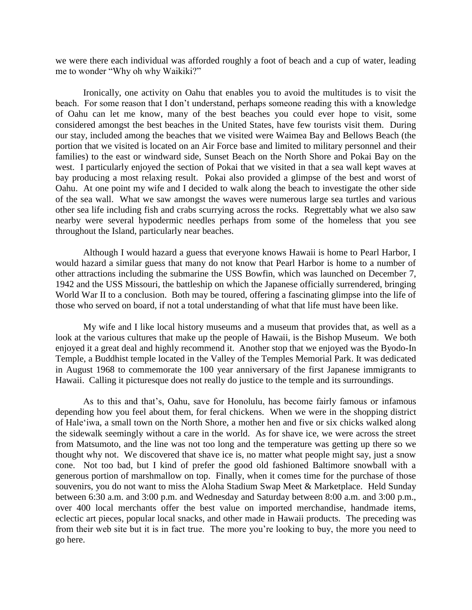we were there each individual was afforded roughly a foot of beach and a cup of water, leading me to wonder "Why oh why Waikiki?"

Ironically, one activity on Oahu that enables you to avoid the multitudes is to visit the beach. For some reason that I don't understand, perhaps someone reading this with a knowledge of Oahu can let me know, many of the best beaches you could ever hope to visit, some considered amongst the best beaches in the United States, have few tourists visit them. During our stay, included among the beaches that we visited were Waimea Bay and Bellows Beach (the portion that we visited is located on an Air Force base and limited to military personnel and their families) to the east or windward side, Sunset Beach on the North Shore and Pokai Bay on the west. I particularly enjoyed the section of Pokai that we visited in that a sea wall kept waves at bay producing a most relaxing result. Pokai also provided a glimpse of the best and worst of Oahu. At one point my wife and I decided to walk along the beach to investigate the other side of the sea wall. What we saw amongst the waves were numerous large sea turtles and various other sea life including fish and crabs scurrying across the rocks. Regrettably what we also saw nearby were several hypodermic needles perhaps from some of the homeless that you see throughout the Island, particularly near beaches.

Although I would hazard a guess that everyone knows Hawaii is home to Pearl Harbor, I would hazard a similar guess that many do not know that Pearl Harbor is home to a number of other attractions including the submarine the USS Bowfin, which was launched on December 7, 1942 and the USS Missouri, the battleship on which the Japanese officially surrendered, bringing World War II to a conclusion. Both may be toured, offering a fascinating glimpse into the life of those who served on board, if not a total understanding of what that life must have been like.

My wife and I like local history museums and a museum that provides that, as well as a look at the various cultures that make up the people of Hawaii, is the Bishop Museum. We both enjoyed it a great deal and highly recommend it. Another stop that we enjoyed was the Byodo-In Temple, a Buddhist temple located in the Valley of the Temples Memorial Park. It was dedicated in August 1968 to commemorate the 100 year anniversary of the first Japanese immigrants to Hawaii. Calling it picturesque does not really do justice to the temple and its surroundings.

As to this and that's, Oahu, save for Honolulu, has become fairly famous or infamous depending how you feel about them, for feral chickens. When we were in the shopping district of Hale'iwa, a small town on the North Shore, a mother hen and five or six chicks walked along the sidewalk seemingly without a care in the world. As for shave ice, we were across the street from Matsumoto, and the line was not too long and the temperature was getting up there so we thought why not. We discovered that shave ice is, no matter what people might say, just a snow cone. Not too bad, but I kind of prefer the good old fashioned Baltimore snowball with a generous portion of marshmallow on top. Finally, when it comes time for the purchase of those souvenirs, you do not want to miss the Aloha Stadium Swap Meet & Marketplace. Held Sunday between 6:30 a.m. and 3:00 p.m. and Wednesday and Saturday between 8:00 a.m. and 3:00 p.m., over 400 local merchants offer the best value on imported merchandise, handmade items, eclectic art pieces, popular local snacks, and other made in Hawaii products. The preceding was from their web site but it is in fact true. The more you're looking to buy, the more you need to go here.